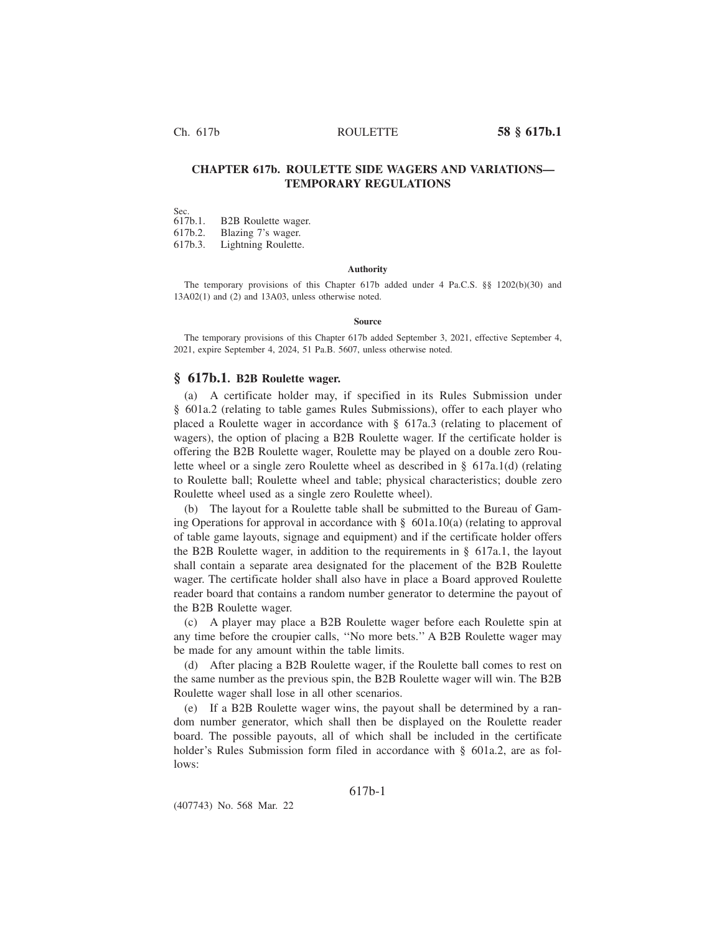Ch. 617b ROULETTE **58 § 617b.1**

# **CHAPTER 617b. ROULETTE SIDE WAGERS AND VARIATIONS— TEMPORARY REGULATIONS**

Sec.<br>617b.1. **B2B** Roulette wager.

617b.2. Blazing 7's wager.

617b.3. Lightning Roulette.

#### **Authority**

The temporary provisions of this Chapter 617b added under 4 Pa.C.S. §§ 1202(b)(30) and 13A02(1) and (2) and 13A03, unless otherwise noted.

#### **Source**

The temporary provisions of this Chapter 617b added September 3, 2021, effective September 4, 2021, expire September 4, 2024, 51 Pa.B. 5607, unless otherwise noted.

### **§ 617b.1. B2B Roulette wager.**

(a) A certificate holder may, if specified in its Rules Submission under § 601a.2 (relating to table games Rules Submissions), offer to each player who placed a Roulette wager in accordance with § 617a.3 (relating to placement of wagers), the option of placing a B2B Roulette wager. If the certificate holder is offering the B2B Roulette wager, Roulette may be played on a double zero Roulette wheel or a single zero Roulette wheel as described in § 617a.1(d) (relating to Roulette ball; Roulette wheel and table; physical characteristics; double zero Roulette wheel used as a single zero Roulette wheel).

(b) The layout for a Roulette table shall be submitted to the Bureau of Gaming Operations for approval in accordance with  $\S$  601a.10(a) (relating to approval of table game layouts, signage and equipment) and if the certificate holder offers the B2B Roulette wager, in addition to the requirements in § 617a.1, the layout shall contain a separate area designated for the placement of the B2B Roulette wager. The certificate holder shall also have in place a Board approved Roulette reader board that contains a random number generator to determine the payout of the B2B Roulette wager.

(c) A player may place a B2B Roulette wager before each Roulette spin at any time before the croupier calls, ''No more bets.'' A B2B Roulette wager may be made for any amount within the table limits.

(d) After placing a B2B Roulette wager, if the Roulette ball comes to rest on the same number as the previous spin, the B2B Roulette wager will win. The B2B Roulette wager shall lose in all other scenarios.

(e) If a B2B Roulette wager wins, the payout shall be determined by a random number generator, which shall then be displayed on the Roulette reader board. The possible payouts, all of which shall be included in the certificate holder's Rules Submission form filed in accordance with § 601a.2, are as follows:

## 617b-1

(407743) No. 568 Mar. 22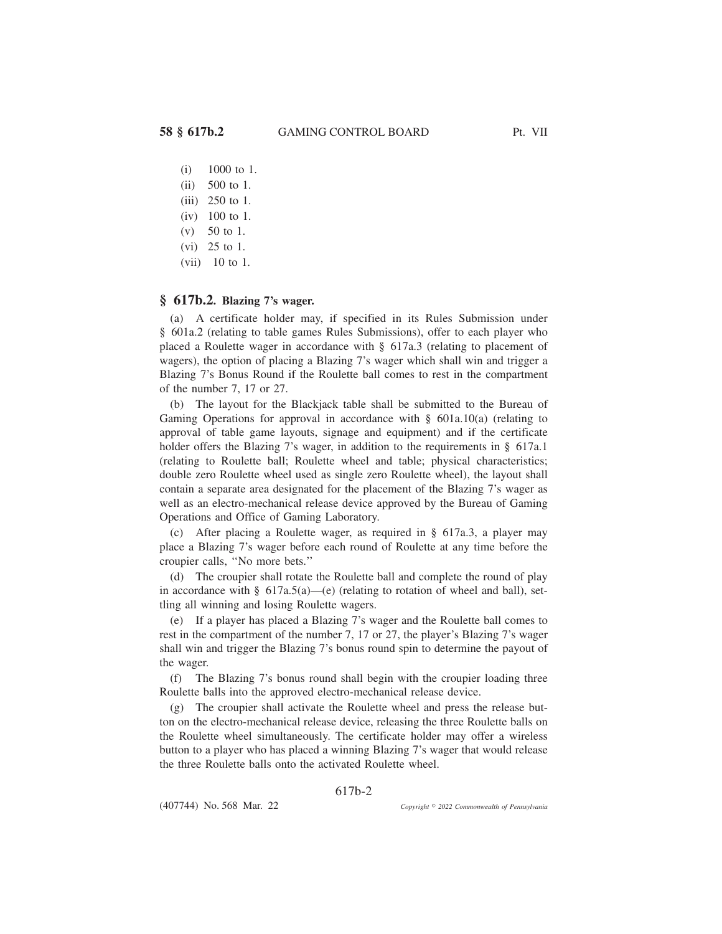- (i) 1000 to 1.
- (ii) 500 to 1.
- (iii) 250 to 1.
- (iv) 100 to 1.
- (v) 50 to 1.
- (vi) 25 to 1.
- (vii) 10 to 1.

# **§ 617b.2. Blazing 7's wager.**

(a) A certificate holder may, if specified in its Rules Submission under § 601a.2 (relating to table games Rules Submissions), offer to each player who placed a Roulette wager in accordance with § 617a.3 (relating to placement of wagers), the option of placing a Blazing 7's wager which shall win and trigger a Blazing 7's Bonus Round if the Roulette ball comes to rest in the compartment of the number 7, 17 or 27.

(b) The layout for the Blackjack table shall be submitted to the Bureau of Gaming Operations for approval in accordance with  $\S$  601a.10(a) (relating to approval of table game layouts, signage and equipment) and if the certificate holder offers the Blazing 7's wager, in addition to the requirements in § 617a.1 (relating to Roulette ball; Roulette wheel and table; physical characteristics; double zero Roulette wheel used as single zero Roulette wheel), the layout shall contain a separate area designated for the placement of the Blazing 7's wager as well as an electro-mechanical release device approved by the Bureau of Gaming Operations and Office of Gaming Laboratory.

(c) After placing a Roulette wager, as required in § 617a.3, a player may place a Blazing 7's wager before each round of Roulette at any time before the croupier calls, ''No more bets.''

(d) The croupier shall rotate the Roulette ball and complete the round of play in accordance with  $\S$  617a.5(a)—(e) (relating to rotation of wheel and ball), settling all winning and losing Roulette wagers.

(e) If a player has placed a Blazing 7's wager and the Roulette ball comes to rest in the compartment of the number 7, 17 or 27, the player's Blazing 7's wager shall win and trigger the Blazing 7's bonus round spin to determine the payout of the wager.

(f) The Blazing 7's bonus round shall begin with the croupier loading three Roulette balls into the approved electro-mechanical release device.

(g) The croupier shall activate the Roulette wheel and press the release button on the electro-mechanical release device, releasing the three Roulette balls on the Roulette wheel simultaneously. The certificate holder may offer a wireless button to a player who has placed a winning Blazing 7's wager that would release the three Roulette balls onto the activated Roulette wheel.

617b-2

(407744) No. 568 Mar. 22

*2022 Commonwealth of Pennsylvania*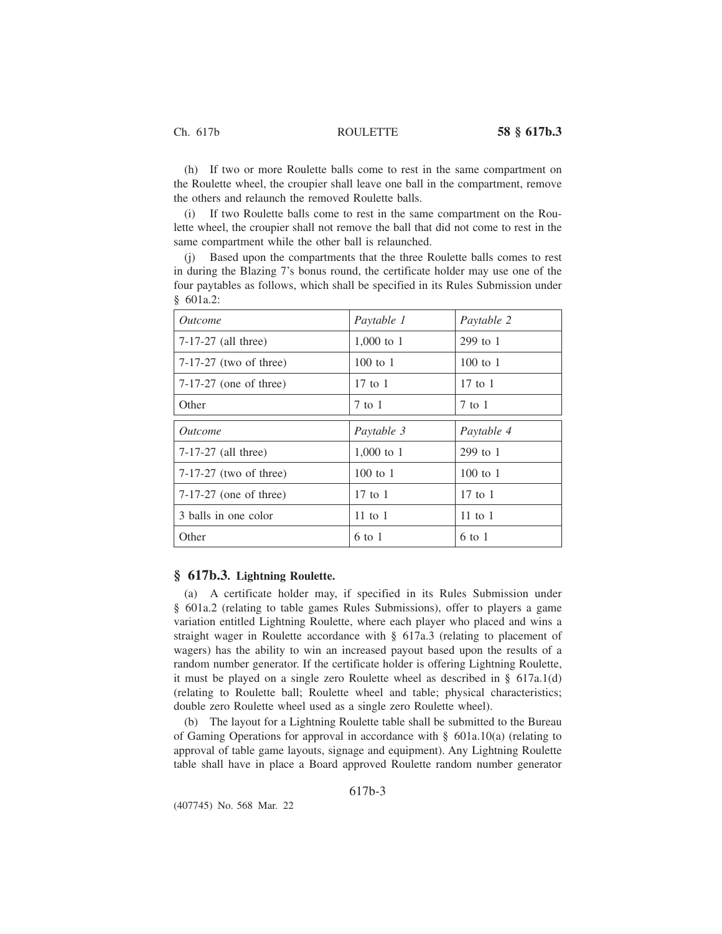(h) If two or more Roulette balls come to rest in the same compartment on the Roulette wheel, the croupier shall leave one ball in the compartment, remove the others and relaunch the removed Roulette balls.

(i) If two Roulette balls come to rest in the same compartment on the Roulette wheel, the croupier shall not remove the ball that did not come to rest in the same compartment while the other ball is relaunched.

(j) Based upon the compartments that the three Roulette balls comes to rest in during the Blazing 7's bonus round, the certificate holder may use one of the four paytables as follows, which shall be specified in its Rules Submission under § 601a.2:

| <i><u>Outcome</u></i>    | Paytable 1   | Paytable 2   |
|--------------------------|--------------|--------------|
| $7-17-27$ (all three)    | $1,000$ to 1 | 299 to 1     |
| $7-17-27$ (two of three) | $100$ to $1$ | $100$ to $1$ |
| $7-17-27$ (one of three) | $17$ to $1$  | $17$ to $1$  |
| Other                    | $7$ to $1$   | $7$ to $1$   |
| <i><u>Outcome</u></i>    | Paytable 3   | Paytable 4   |
| $7-17-27$ (all three)    | 1,000 to 1   | $299$ to 1   |
| $7-17-27$ (two of three) | $100$ to 1   | $100$ to 1   |
|                          |              |              |
| $7-17-27$ (one of three) | $17$ to $1$  | $17$ to $1$  |
| 3 balls in one color     | 11 to $1$    | $11$ to $1$  |

## **§ 617b.3. Lightning Roulette.**

(a) A certificate holder may, if specified in its Rules Submission under § 601a.2 (relating to table games Rules Submissions), offer to players a game variation entitled Lightning Roulette, where each player who placed and wins a straight wager in Roulette accordance with § 617a.3 (relating to placement of wagers) has the ability to win an increased payout based upon the results of a random number generator. If the certificate holder is offering Lightning Roulette, it must be played on a single zero Roulette wheel as described in § 617a.1(d) (relating to Roulette ball; Roulette wheel and table; physical characteristics; double zero Roulette wheel used as a single zero Roulette wheel).

(b) The layout for a Lightning Roulette table shall be submitted to the Bureau of Gaming Operations for approval in accordance with § 601a.10(a) (relating to approval of table game layouts, signage and equipment). Any Lightning Roulette table shall have in place a Board approved Roulette random number generator

617b-3

(407745) No. 568 Mar. 22